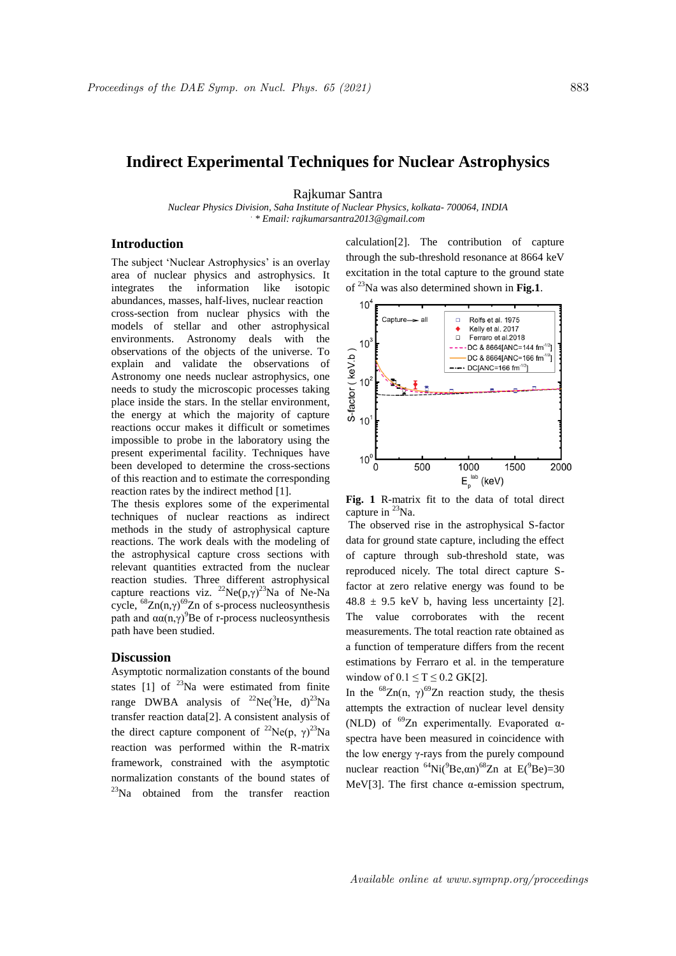## **Indirect Experimental Techniques for Nuclear Astrophysics**

Rajkumar Santra

*Nuclear Physics Division, Saha Institute of Nuclear Physics, kolkata- 700064, INDIA . \* Email: rajkumarsantra2013@gmail.com*

## **Introduction**

The subject 'Nuclear Astrophysics' is an overlay area of nuclear physics and astrophysics. It integrates the information like isotopic abundances, masses, half-lives, nuclear reaction cross-section from nuclear physics with the models of stellar and other astrophysical environments. Astronomy deals with the observations of the objects of the universe. To explain and validate the observations of Astronomy one needs nuclear astrophysics, one needs to study the microscopic processes taking place inside the stars. In the stellar environment, the energy at which the majority of capture reactions occur makes it difficult or sometimes impossible to probe in the laboratory using the present experimental facility. Techniques have been developed to determine the cross-sections of this reaction and to estimate the corresponding reaction rates by the indirect method [1].

The thesis explores some of the experimental techniques of nuclear reactions as indirect methods in the study of astrophysical capture reactions. The work deals with the modeling of the astrophysical capture cross sections with relevant quantities extracted from the nuclear reaction studies. Three different astrophysical capture reactions viz.  $^{22}Ne(p,\gamma)^{23}Na$  of Ne-Na cycle,  $^{68}Zn(n,γ)^{69}Zn$  of s-process nucleosynthesis path and  $\alpha\alpha(n,y)^9$ Be of r-process nucleosynthesis path have been studied.

## **Discussion**

Asymptotic normalization constants of the bound states  $[1]$  of <sup>23</sup>Na were estimated from finite range DWBA analysis of  $^{22}Ne(^{3}He$ , d)<sup>23</sup>Na transfer reaction data[2]. A consistent analysis of the direct capture component of <sup>22</sup>Ne(p,  $\gamma$ )<sup>23</sup>Na reaction was performed within the R-matrix framework, constrained with the asymptotic normalization constants of the bound states of <sup>23</sup>Na obtained from the transfer reaction calculation[2]. The contribution of capture through the sub-threshold resonance at 8664 keV excitation in the total capture to the ground state of <sup>23</sup>Na was also determined shown in **Fig.1**.



**Fig. 1** R-matrix fit to the data of total direct capture in  $^{23}$ Na.

The observed rise in the astrophysical S-factor data for ground state capture, including the effect of capture through sub-threshold state, was reproduced nicely. The total direct capture Sfactor at zero relative energy was found to be  $48.8 \pm 9.5$  keV b, having less uncertainty [2]. The value corroborates with the recent measurements. The total reaction rate obtained as a function of temperature differs from the recent estimations by Ferraro et al. in the temperature window of  $0.1 \le T \le 0.2$  GK[2].

In the <sup>68</sup>Zn(n,  $\gamma$ )<sup>69</sup>Zn reaction study, the thesis attempts the extraction of nuclear level density (NLD) of  $^{69}Zn$  experimentally. Evaporated  $\alpha$ spectra have been measured in coincidence with the low energy γ-rays from the purely compound nuclear reaction  ${}^{64}$ Ni( ${}^{9}$ Be, $\alpha$ n) ${}^{68}$ Zn at E( ${}^{9}$ Be)=30 MeV[3]. The first chance  $\alpha$ -emission spectrum,